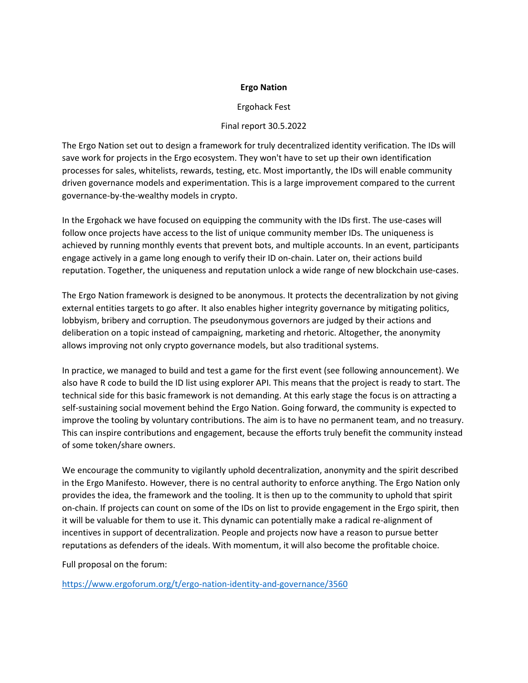## **Ergo Nation**

## Ergohack Fest

## Final report 30.5.2022

The Ergo Nation set out to design a framework for truly decentralized identity verification. The IDs will save work for projects in the Ergo ecosystem. They won't have to set up their own identification processes for sales, whitelists, rewards, testing, etc. Most importantly, the IDs will enable community driven governance models and experimentation. This is a large improvement compared to the current governance-by-the-wealthy models in crypto.

In the Ergohack we have focused on equipping the community with the IDs first. The use-cases will follow once projects have access to the list of unique community member IDs. The uniqueness is achieved by running monthly events that prevent bots, and multiple accounts. In an event, participants engage actively in a game long enough to verify their ID on-chain. Later on, their actions build reputation. Together, the uniqueness and reputation unlock a wide range of new blockchain use-cases.

The Ergo Nation framework is designed to be anonymous. It protects the decentralization by not giving external entities targets to go after. It also enables higher integrity governance by mitigating politics, lobbyism, bribery and corruption. The pseudonymous governors are judged by their actions and deliberation on a topic instead of campaigning, marketing and rhetoric. Altogether, the anonymity allows improving not only crypto governance models, but also traditional systems.

In practice, we managed to build and test a game for the first event (see following announcement). We also have R code to build the ID list using explorer API. This means that the project is ready to start. The technical side for this basic framework is not demanding. At this early stage the focus is on attracting a self-sustaining social movement behind the Ergo Nation. Going forward, the community is expected to improve the tooling by voluntary contributions. The aim is to have no permanent team, and no treasury. This can inspire contributions and engagement, because the efforts truly benefit the community instead of some token/share owners.

We encourage the community to vigilantly uphold decentralization, anonymity and the spirit described in the Ergo Manifesto. However, there is no central authority to enforce anything. The Ergo Nation only provides the idea, the framework and the tooling. It is then up to the community to uphold that spirit on-chain. If projects can count on some of the IDs on list to provide engagement in the Ergo spirit, then it will be valuable for them to use it. This dynamic can potentially make a radical re-alignment of incentives in support of decentralization. People and projects now have a reason to pursue better reputations as defenders of the ideals. With momentum, it will also become the profitable choice.

Full proposal on the forum:

<https://www.ergoforum.org/t/ergo-nation-identity-and-governance/3560>